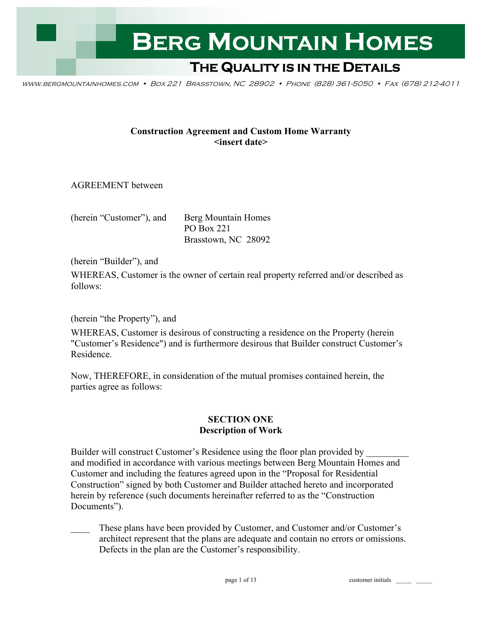

www.bergmountainhomes.com • Box 221 Brasstown, NC 28902 • Phone (828) 361-5050 • Fax (678) 212-4011

### **Construction Agreement and Custom Home Warranty <insert date>**

AGREEMENT between

(herein "Customer"), and Berg Mountain Homes

PO Box 221 Brasstown, NC 28092

(herein "Builder"), and

WHEREAS, Customer is the owner of certain real property referred and/or described as follows:

(herein "the Property"), and

WHEREAS, Customer is desirous of constructing a residence on the Property (herein "Customer's Residence") and is furthermore desirous that Builder construct Customer's Residence.

Now, THEREFORE, in consideration of the mutual promises contained herein, the parties agree as follows:

### **SECTION ONE Description of Work**

Builder will construct Customer's Residence using the floor plan provided by and modified in accordance with various meetings between Berg Mountain Homes and Customer and including the features agreed upon in the "Proposal for Residential Construction" signed by both Customer and Builder attached hereto and incorporated herein by reference (such documents hereinafter referred to as the "Construction Documents").

These plans have been provided by Customer, and Customer and/or Customer's architect represent that the plans are adequate and contain no errors or omissions. Defects in the plan are the Customer's responsibility.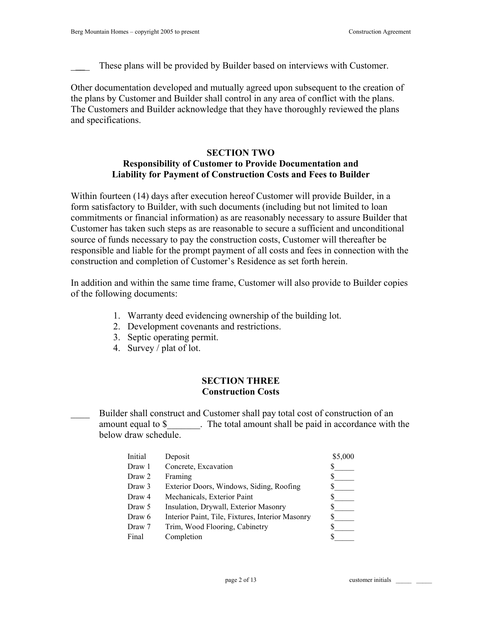These plans will be provided by Builder based on interviews with Customer.

Other documentation developed and mutually agreed upon subsequent to the creation of the plans by Customer and Builder shall control in any area of conflict with the plans. The Customers and Builder acknowledge that they have thoroughly reviewed the plans and specifications.

# **SECTION TWO**

## **Responsibility of Customer to Provide Documentation and Liability for Payment of Construction Costs and Fees to Builder**

Within fourteen (14) days after execution hereof Customer will provide Builder, in a form satisfactory to Builder, with such documents (including but not limited to loan commitments or financial information) as are reasonably necessary to assure Builder that Customer has taken such steps as are reasonable to secure a sufficient and unconditional source of funds necessary to pay the construction costs, Customer will thereafter be responsible and liable for the prompt payment of all costs and fees in connection with the construction and completion of Customer's Residence as set forth herein.

In addition and within the same time frame, Customer will also provide to Builder copies of the following documents:

- 1. Warranty deed evidencing ownership of the building lot.
- 2. Development covenants and restrictions.
- 3. Septic operating permit.
- 4. Survey / plat of lot.

## **SECTION THREE Construction Costs**

## \_\_\_\_ Builder shall construct and Customer shall pay total cost of construction of an amount equal to \$ The total amount shall be paid in accordance with the below draw schedule

| Initial | Deposit                                          | \$5,000 |
|---------|--------------------------------------------------|---------|
| Draw 1  | Concrete, Excavation                             |         |
| Draw 2  | Framing                                          |         |
| Draw 3  | Exterior Doors, Windows, Siding, Roofing         |         |
| Draw 4  | Mechanicals, Exterior Paint                      |         |
| Draw 5  | Insulation, Drywall, Exterior Masonry            |         |
| Draw 6  | Interior Paint, Tile, Fixtures, Interior Masonry |         |
| Draw 7  | Trim, Wood Flooring, Cabinetry                   |         |
| Final   | Completion                                       |         |
|         |                                                  |         |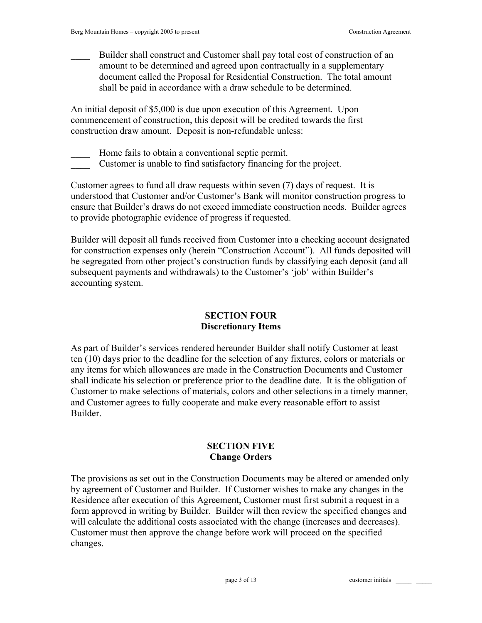\_\_\_\_ Builder shall construct and Customer shall pay total cost of construction of an amount to be determined and agreed upon contractually in a supplementary document called the Proposal for Residential Construction. The total amount shall be paid in accordance with a draw schedule to be determined.

An initial deposit of \$5,000 is due upon execution of this Agreement. Upon commencement of construction, this deposit will be credited towards the first construction draw amount. Deposit is non-refundable unless:

Home fails to obtain a conventional septic permit.

\_\_\_\_ Customer is unable to find satisfactory financing for the project.

Customer agrees to fund all draw requests within seven (7) days of request. It is understood that Customer and/or Customer's Bank will monitor construction progress to ensure that Builder's draws do not exceed immediate construction needs. Builder agrees to provide photographic evidence of progress if requested.

Builder will deposit all funds received from Customer into a checking account designated for construction expenses only (herein "Construction Account"). All funds deposited will be segregated from other project's construction funds by classifying each deposit (and all subsequent payments and withdrawals) to the Customer's 'job' within Builder's accounting system.

## **SECTION FOUR Discretionary Items**

As part of Builder's services rendered hereunder Builder shall notify Customer at least ten (10) days prior to the deadline for the selection of any fixtures, colors or materials or any items for which allowances are made in the Construction Documents and Customer shall indicate his selection or preference prior to the deadline date. It is the obligation of Customer to make selections of materials, colors and other selections in a timely manner, and Customer agrees to fully cooperate and make every reasonable effort to assist Builder.

## **SECTION FIVE Change Orders**

The provisions as set out in the Construction Documents may be altered or amended only by agreement of Customer and Builder. If Customer wishes to make any changes in the Residence after execution of this Agreement, Customer must first submit a request in a form approved in writing by Builder. Builder will then review the specified changes and will calculate the additional costs associated with the change (increases and decreases). Customer must then approve the change before work will proceed on the specified changes.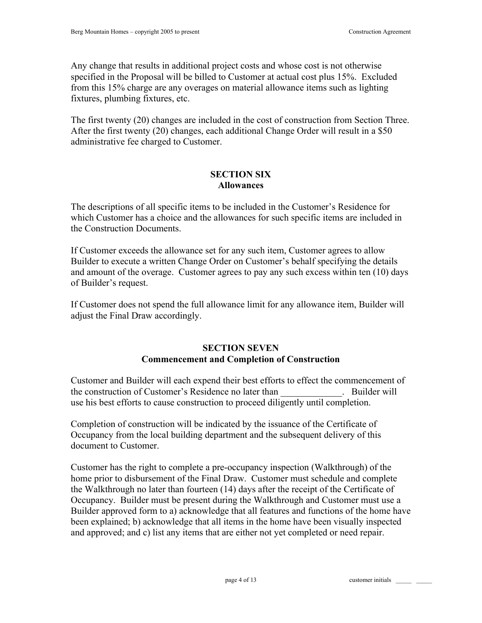Any change that results in additional project costs and whose cost is not otherwise specified in the Proposal will be billed to Customer at actual cost plus 15%. Excluded from this 15% charge are any overages on material allowance items such as lighting fixtures, plumbing fixtures, etc.

The first twenty (20) changes are included in the cost of construction from Section Three. After the first twenty (20) changes, each additional Change Order will result in a \$50 administrative fee charged to Customer.

## **SECTION SIX Allowances**

The descriptions of all specific items to be included in the Customer's Residence for which Customer has a choice and the allowances for such specific items are included in the Construction Documents.

If Customer exceeds the allowance set for any such item, Customer agrees to allow Builder to execute a written Change Order on Customer's behalf specifying the details and amount of the overage. Customer agrees to pay any such excess within ten (10) days of Builder's request.

If Customer does not spend the full allowance limit for any allowance item, Builder will adjust the Final Draw accordingly.

## **SECTION SEVEN Commencement and Completion of Construction**

Customer and Builder will each expend their best efforts to effect the commencement of the construction of Customer's Residence no later than Fundally and Builder will use his best efforts to cause construction to proceed diligently until completion.

Completion of construction will be indicated by the issuance of the Certificate of Occupancy from the local building department and the subsequent delivery of this document to Customer.

Customer has the right to complete a pre-occupancy inspection (Walkthrough) of the home prior to disbursement of the Final Draw. Customer must schedule and complete the Walkthrough no later than fourteen (14) days after the receipt of the Certificate of Occupancy. Builder must be present during the Walkthrough and Customer must use a Builder approved form to a) acknowledge that all features and functions of the home have been explained; b) acknowledge that all items in the home have been visually inspected and approved; and c) list any items that are either not yet completed or need repair.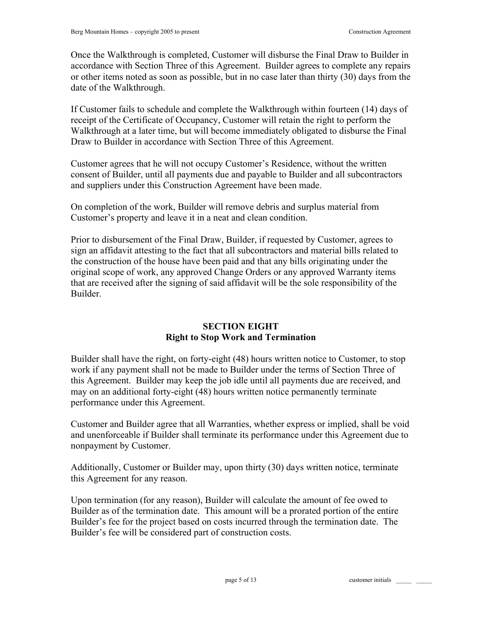Once the Walkthrough is completed, Customer will disburse the Final Draw to Builder in accordance with Section Three of this Agreement. Builder agrees to complete any repairs or other items noted as soon as possible, but in no case later than thirty (30) days from the date of the Walkthrough.

If Customer fails to schedule and complete the Walkthrough within fourteen (14) days of receipt of the Certificate of Occupancy, Customer will retain the right to perform the Walkthrough at a later time, but will become immediately obligated to disburse the Final Draw to Builder in accordance with Section Three of this Agreement.

Customer agrees that he will not occupy Customer's Residence, without the written consent of Builder, until all payments due and payable to Builder and all subcontractors and suppliers under this Construction Agreement have been made.

On completion of the work, Builder will remove debris and surplus material from Customer's property and leave it in a neat and clean condition.

Prior to disbursement of the Final Draw, Builder, if requested by Customer, agrees to sign an affidavit attesting to the fact that all subcontractors and material bills related to the construction of the house have been paid and that any bills originating under the original scope of work, any approved Change Orders or any approved Warranty items that are received after the signing of said affidavit will be the sole responsibility of the Builder.

### **SECTION EIGHT Right to Stop Work and Termination**

Builder shall have the right, on forty-eight (48) hours written notice to Customer, to stop work if any payment shall not be made to Builder under the terms of Section Three of this Agreement. Builder may keep the job idle until all payments due are received, and may on an additional forty-eight (48) hours written notice permanently terminate performance under this Agreement.

Customer and Builder agree that all Warranties, whether express or implied, shall be void and unenforceable if Builder shall terminate its performance under this Agreement due to nonpayment by Customer.

Additionally, Customer or Builder may, upon thirty (30) days written notice, terminate this Agreement for any reason.

Upon termination (for any reason), Builder will calculate the amount of fee owed to Builder as of the termination date. This amount will be a prorated portion of the entire Builder's fee for the project based on costs incurred through the termination date. The Builder's fee will be considered part of construction costs.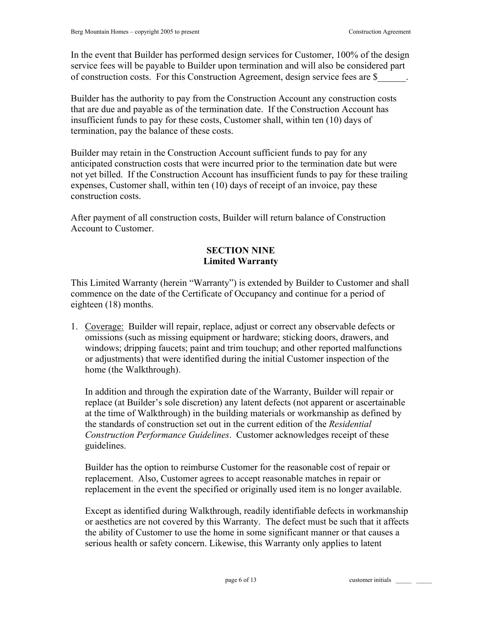In the event that Builder has performed design services for Customer, 100% of the design service fees will be payable to Builder upon termination and will also be considered part of construction costs. For this Construction Agreement, design service fees are \$\_\_\_\_\_\_.

Builder has the authority to pay from the Construction Account any construction costs that are due and payable as of the termination date. If the Construction Account has insufficient funds to pay for these costs, Customer shall, within ten (10) days of termination, pay the balance of these costs.

Builder may retain in the Construction Account sufficient funds to pay for any anticipated construction costs that were incurred prior to the termination date but were not yet billed. If the Construction Account has insufficient funds to pay for these trailing expenses, Customer shall, within ten (10) days of receipt of an invoice, pay these construction costs.

After payment of all construction costs, Builder will return balance of Construction Account to Customer.

### **SECTION NINE Limited Warranty**

This Limited Warranty (herein "Warranty") is extended by Builder to Customer and shall commence on the date of the Certificate of Occupancy and continue for a period of eighteen (18) months.

1. Coverage: Builder will repair, replace, adjust or correct any observable defects or omissions (such as missing equipment or hardware; sticking doors, drawers, and windows; dripping faucets; paint and trim touchup; and other reported malfunctions or adjustments) that were identified during the initial Customer inspection of the home (the Walkthrough).

In addition and through the expiration date of the Warranty, Builder will repair or replace (at Builder's sole discretion) any latent defects (not apparent or ascertainable at the time of Walkthrough) in the building materials or workmanship as defined by the standards of construction set out in the current edition of the *Residential Construction Performance Guidelines*. Customer acknowledges receipt of these guidelines.

Builder has the option to reimburse Customer for the reasonable cost of repair or replacement. Also, Customer agrees to accept reasonable matches in repair or replacement in the event the specified or originally used item is no longer available.

Except as identified during Walkthrough, readily identifiable defects in workmanship or aesthetics are not covered by this Warranty. The defect must be such that it affects the ability of Customer to use the home in some significant manner or that causes a serious health or safety concern. Likewise, this Warranty only applies to latent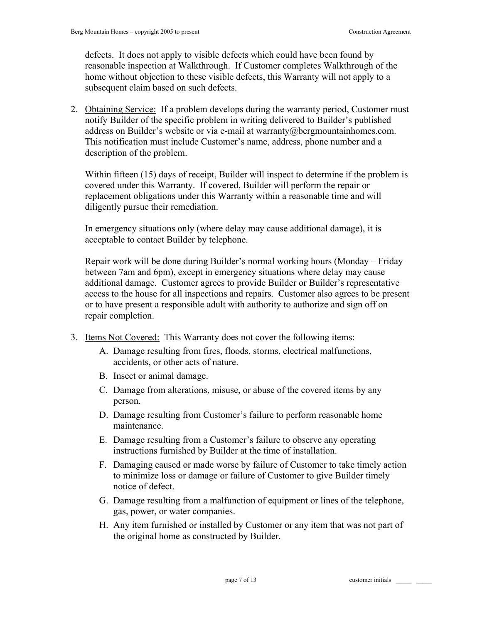defects. It does not apply to visible defects which could have been found by reasonable inspection at Walkthrough. If Customer completes Walkthrough of the home without objection to these visible defects, this Warranty will not apply to a subsequent claim based on such defects.

2. Obtaining Service: If a problem develops during the warranty period, Customer must notify Builder of the specific problem in writing delivered to Builder's published address on Builder's website or via e-mail at warranty@bergmountainhomes.com. This notification must include Customer's name, address, phone number and a description of the problem.

Within fifteen (15) days of receipt, Builder will inspect to determine if the problem is covered under this Warranty. If covered, Builder will perform the repair or replacement obligations under this Warranty within a reasonable time and will diligently pursue their remediation.

In emergency situations only (where delay may cause additional damage), it is acceptable to contact Builder by telephone.

Repair work will be done during Builder's normal working hours (Monday – Friday between 7am and 6pm), except in emergency situations where delay may cause additional damage. Customer agrees to provide Builder or Builder's representative access to the house for all inspections and repairs. Customer also agrees to be present or to have present a responsible adult with authority to authorize and sign off on repair completion.

- 3. Items Not Covered: This Warranty does not cover the following items:
	- A. Damage resulting from fires, floods, storms, electrical malfunctions, accidents, or other acts of nature.
	- B. Insect or animal damage.
	- C. Damage from alterations, misuse, or abuse of the covered items by any person.
	- D. Damage resulting from Customer's failure to perform reasonable home maintenance.
	- E. Damage resulting from a Customer's failure to observe any operating instructions furnished by Builder at the time of installation.
	- F. Damaging caused or made worse by failure of Customer to take timely action to minimize loss or damage or failure of Customer to give Builder timely notice of defect.
	- G. Damage resulting from a malfunction of equipment or lines of the telephone, gas, power, or water companies.
	- H. Any item furnished or installed by Customer or any item that was not part of the original home as constructed by Builder.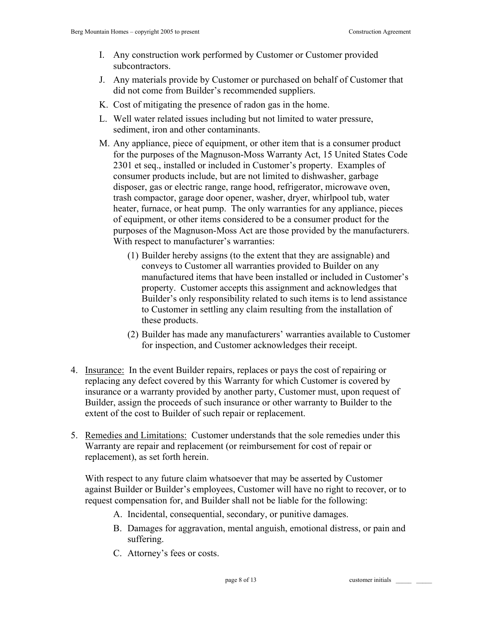- I. Any construction work performed by Customer or Customer provided subcontractors.
- J. Any materials provide by Customer or purchased on behalf of Customer that did not come from Builder's recommended suppliers.
- K. Cost of mitigating the presence of radon gas in the home.
- L. Well water related issues including but not limited to water pressure, sediment, iron and other contaminants.
- M. Any appliance, piece of equipment, or other item that is a consumer product for the purposes of the Magnuson-Moss Warranty Act, 15 United States Code 2301 et seq., installed or included in Customer's property. Examples of consumer products include, but are not limited to dishwasher, garbage disposer, gas or electric range, range hood, refrigerator, microwave oven, trash compactor, garage door opener, washer, dryer, whirlpool tub, water heater, furnace, or heat pump. The only warranties for any appliance, pieces of equipment, or other items considered to be a consumer product for the purposes of the Magnuson-Moss Act are those provided by the manufacturers. With respect to manufacturer's warranties:
	- (1) Builder hereby assigns (to the extent that they are assignable) and conveys to Customer all warranties provided to Builder on any manufactured items that have been installed or included in Customer's property. Customer accepts this assignment and acknowledges that Builder's only responsibility related to such items is to lend assistance to Customer in settling any claim resulting from the installation of these products.
	- (2) Builder has made any manufacturers' warranties available to Customer for inspection, and Customer acknowledges their receipt.
- 4. Insurance: In the event Builder repairs, replaces or pays the cost of repairing or replacing any defect covered by this Warranty for which Customer is covered by insurance or a warranty provided by another party, Customer must, upon request of Builder, assign the proceeds of such insurance or other warranty to Builder to the extent of the cost to Builder of such repair or replacement.
- 5. Remedies and Limitations: Customer understands that the sole remedies under this Warranty are repair and replacement (or reimbursement for cost of repair or replacement), as set forth herein.

With respect to any future claim whatsoever that may be asserted by Customer against Builder or Builder's employees, Customer will have no right to recover, or to request compensation for, and Builder shall not be liable for the following:

- A. Incidental, consequential, secondary, or punitive damages.
- B. Damages for aggravation, mental anguish, emotional distress, or pain and suffering.
- C. Attorney's fees or costs.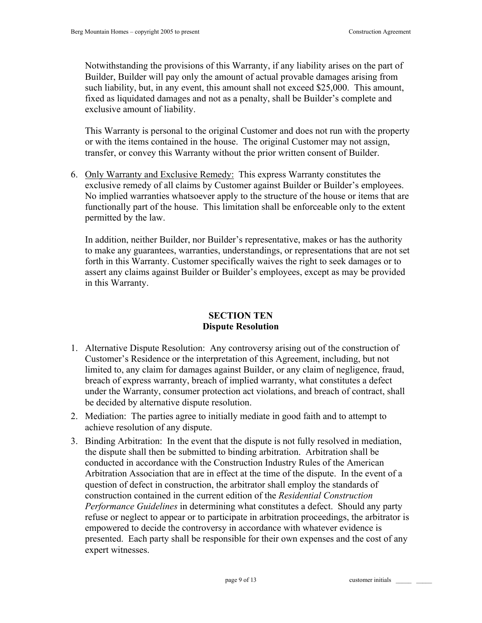Notwithstanding the provisions of this Warranty, if any liability arises on the part of Builder, Builder will pay only the amount of actual provable damages arising from such liability, but, in any event, this amount shall not exceed \$25,000. This amount, fixed as liquidated damages and not as a penalty, shall be Builder's complete and exclusive amount of liability.

This Warranty is personal to the original Customer and does not run with the property or with the items contained in the house. The original Customer may not assign, transfer, or convey this Warranty without the prior written consent of Builder.

6. Only Warranty and Exclusive Remedy: This express Warranty constitutes the exclusive remedy of all claims by Customer against Builder or Builder's employees. No implied warranties whatsoever apply to the structure of the house or items that are functionally part of the house. This limitation shall be enforceable only to the extent permitted by the law.

In addition, neither Builder, nor Builder's representative, makes or has the authority to make any guarantees, warranties, understandings, or representations that are not set forth in this Warranty. Customer specifically waives the right to seek damages or to assert any claims against Builder or Builder's employees, except as may be provided in this Warranty.

# **SECTION TEN Dispute Resolution**

- 1. Alternative Dispute Resolution: Any controversy arising out of the construction of Customer's Residence or the interpretation of this Agreement, including, but not limited to, any claim for damages against Builder, or any claim of negligence, fraud, breach of express warranty, breach of implied warranty, what constitutes a defect under the Warranty, consumer protection act violations, and breach of contract, shall be decided by alternative dispute resolution.
- 2. Mediation: The parties agree to initially mediate in good faith and to attempt to achieve resolution of any dispute.
- 3. Binding Arbitration: In the event that the dispute is not fully resolved in mediation, the dispute shall then be submitted to binding arbitration. Arbitration shall be conducted in accordance with the Construction Industry Rules of the American Arbitration Association that are in effect at the time of the dispute. In the event of a question of defect in construction, the arbitrator shall employ the standards of construction contained in the current edition of the *Residential Construction Performance Guidelines* in determining what constitutes a defect. Should any party refuse or neglect to appear or to participate in arbitration proceedings, the arbitrator is empowered to decide the controversy in accordance with whatever evidence is presented. Each party shall be responsible for their own expenses and the cost of any expert witnesses.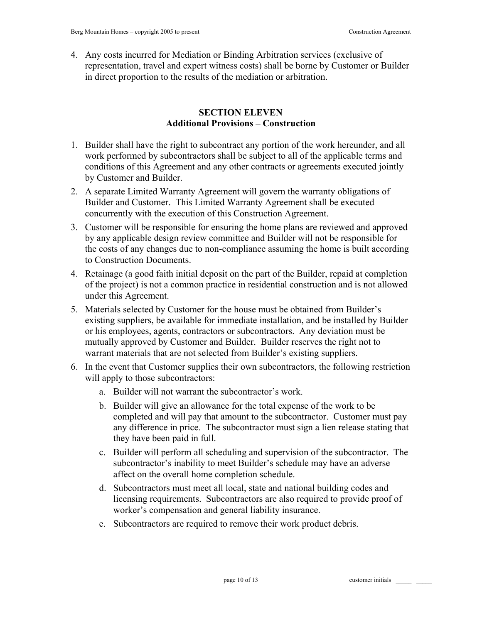4. Any costs incurred for Mediation or Binding Arbitration services (exclusive of representation, travel and expert witness costs) shall be borne by Customer or Builder in direct proportion to the results of the mediation or arbitration.

### **SECTION ELEVEN Additional Provisions – Construction**

- 1. Builder shall have the right to subcontract any portion of the work hereunder, and all work performed by subcontractors shall be subject to all of the applicable terms and conditions of this Agreement and any other contracts or agreements executed jointly by Customer and Builder.
- 2. A separate Limited Warranty Agreement will govern the warranty obligations of Builder and Customer. This Limited Warranty Agreement shall be executed concurrently with the execution of this Construction Agreement.
- 3. Customer will be responsible for ensuring the home plans are reviewed and approved by any applicable design review committee and Builder will not be responsible for the costs of any changes due to non-compliance assuming the home is built according to Construction Documents.
- 4. Retainage (a good faith initial deposit on the part of the Builder, repaid at completion of the project) is not a common practice in residential construction and is not allowed under this Agreement.
- 5. Materials selected by Customer for the house must be obtained from Builder's existing suppliers, be available for immediate installation, and be installed by Builder or his employees, agents, contractors or subcontractors. Any deviation must be mutually approved by Customer and Builder. Builder reserves the right not to warrant materials that are not selected from Builder's existing suppliers.
- 6. In the event that Customer supplies their own subcontractors, the following restriction will apply to those subcontractors:
	- a. Builder will not warrant the subcontractor's work.
	- b. Builder will give an allowance for the total expense of the work to be completed and will pay that amount to the subcontractor. Customer must pay any difference in price. The subcontractor must sign a lien release stating that they have been paid in full.
	- c. Builder will perform all scheduling and supervision of the subcontractor. The subcontractor's inability to meet Builder's schedule may have an adverse affect on the overall home completion schedule.
	- d. Subcontractors must meet all local, state and national building codes and licensing requirements. Subcontractors are also required to provide proof of worker's compensation and general liability insurance.
	- e. Subcontractors are required to remove their work product debris.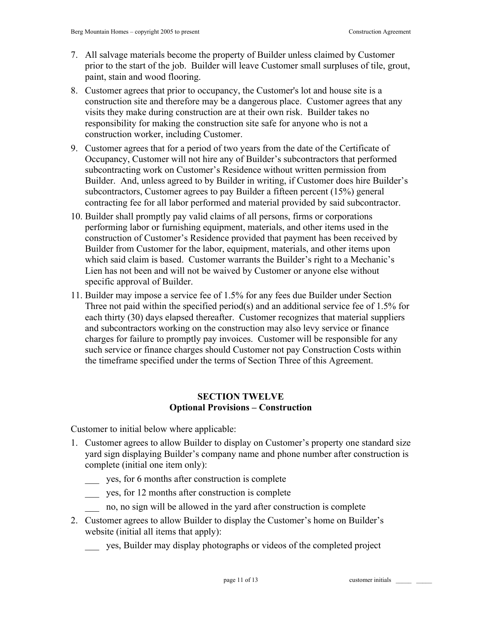- 7. All salvage materials become the property of Builder unless claimed by Customer prior to the start of the job. Builder will leave Customer small surpluses of tile, grout, paint, stain and wood flooring.
- 8. Customer agrees that prior to occupancy, the Customer's lot and house site is a construction site and therefore may be a dangerous place. Customer agrees that any visits they make during construction are at their own risk. Builder takes no responsibility for making the construction site safe for anyone who is not a construction worker, including Customer.
- 9. Customer agrees that for a period of two years from the date of the Certificate of Occupancy, Customer will not hire any of Builder's subcontractors that performed subcontracting work on Customer's Residence without written permission from Builder. And, unless agreed to by Builder in writing, if Customer does hire Builder's subcontractors, Customer agrees to pay Builder a fifteen percent (15%) general contracting fee for all labor performed and material provided by said subcontractor.
- 10. Builder shall promptly pay valid claims of all persons, firms or corporations performing labor or furnishing equipment, materials, and other items used in the construction of Customer's Residence provided that payment has been received by Builder from Customer for the labor, equipment, materials, and other items upon which said claim is based. Customer warrants the Builder's right to a Mechanic's Lien has not been and will not be waived by Customer or anyone else without specific approval of Builder.
- 11. Builder may impose a service fee of 1.5% for any fees due Builder under Section Three not paid within the specified period(s) and an additional service fee of 1.5% for each thirty (30) days elapsed thereafter. Customer recognizes that material suppliers and subcontractors working on the construction may also levy service or finance charges for failure to promptly pay invoices. Customer will be responsible for any such service or finance charges should Customer not pay Construction Costs within the timeframe specified under the terms of Section Three of this Agreement.

# **SECTION TWELVE Optional Provisions – Construction**

Customer to initial below where applicable:

- 1. Customer agrees to allow Builder to display on Customer's property one standard size yard sign displaying Builder's company name and phone number after construction is complete (initial one item only):
	- \_\_\_ yes, for 6 months after construction is complete
	- \_\_\_ yes, for 12 months after construction is complete
	- no, no sign will be allowed in the yard after construction is complete
- 2. Customer agrees to allow Builder to display the Customer's home on Builder's website (initial all items that apply):
	- \_\_\_ yes, Builder may display photographs or videos of the completed project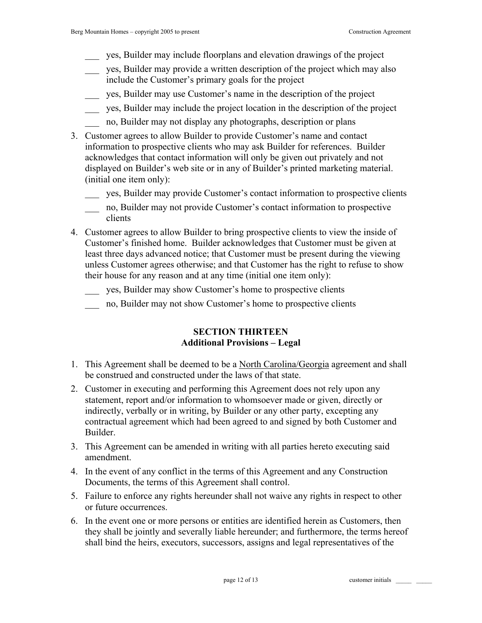- \_\_\_ yes, Builder may include floorplans and elevation drawings of the project
- \_\_\_ yes, Builder may provide a written description of the project which may also include the Customer's primary goals for the project
- \_\_\_ yes, Builder may use Customer's name in the description of the project
- \_\_\_ yes, Builder may include the project location in the description of the project
- \_\_\_ no, Builder may not display any photographs, description or plans
- 3. Customer agrees to allow Builder to provide Customer's name and contact information to prospective clients who may ask Builder for references. Builder acknowledges that contact information will only be given out privately and not displayed on Builder's web site or in any of Builder's printed marketing material. (initial one item only):
	- \_\_\_ yes, Builder may provide Customer's contact information to prospective clients
	- \_\_\_ no, Builder may not provide Customer's contact information to prospective clients
- 4. Customer agrees to allow Builder to bring prospective clients to view the inside of Customer's finished home. Builder acknowledges that Customer must be given at least three days advanced notice; that Customer must be present during the viewing unless Customer agrees otherwise; and that Customer has the right to refuse to show their house for any reason and at any time (initial one item only):
	- \_\_\_ yes, Builder may show Customer's home to prospective clients
	- \_\_\_ no, Builder may not show Customer's home to prospective clients

### **SECTION THIRTEEN Additional Provisions – Legal**

- 1. This Agreement shall be deemed to be a North Carolina/Georgia agreement and shall be construed and constructed under the laws of that state.
- 2. Customer in executing and performing this Agreement does not rely upon any statement, report and/or information to whomsoever made or given, directly or indirectly, verbally or in writing, by Builder or any other party, excepting any contractual agreement which had been agreed to and signed by both Customer and Builder.
- 3. This Agreement can be amended in writing with all parties hereto executing said amendment.
- 4. In the event of any conflict in the terms of this Agreement and any Construction Documents, the terms of this Agreement shall control.
- 5. Failure to enforce any rights hereunder shall not waive any rights in respect to other or future occurrences.
- 6. In the event one or more persons or entities are identified herein as Customers, then they shall be jointly and severally liable hereunder; and furthermore, the terms hereof shall bind the heirs, executors, successors, assigns and legal representatives of the